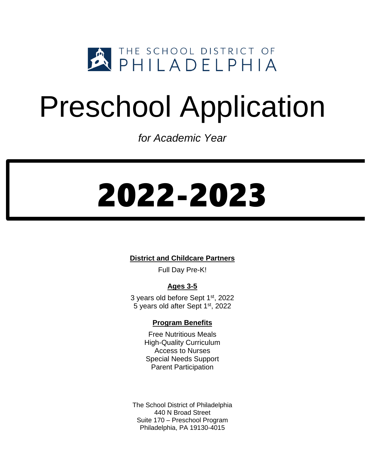

## Preschool Application

*for Academic Year*

# 2022-2023

**District and Childcare Partners**

Full Day Pre-K!

## **Ages 3-5**

3 years old before Sept 1st, 2022 5 years old after Sept 1st, 2022

### **Program Benefits**

Free Nutritious Meals High-Quality Curriculum Access to Nurses Special Needs Support Parent Participation

The School District of Philadelphia 440 N Broad Street Suite 170 – Preschool Program Philadelphia, PA 19130-4015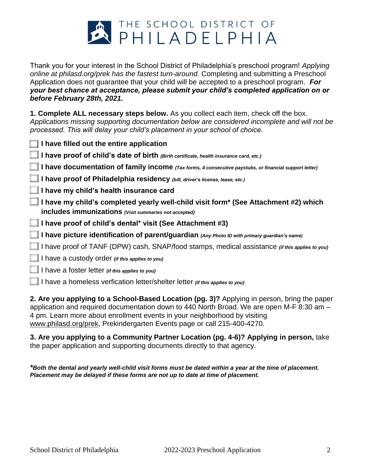

Thank you for your interest in the School District of Philadelphia's preschool program! *Applying online at philasd.org/prek has the fastest turn-around.* Completing and submitting a Preschool Application does not guarantee that your child will be accepted to a preschool program. *For your best chance at acceptance, please submit your child's completed application on or before February 28th, 2021.*

**1. Complete ALL necessary steps below.** As you collect each item, check off the box. *Applications missing supporting documentation below are considered incomplete and will not be processed. This will delay your child's placement in your school of choice.* 

| $\Box$ I have filled out the entire application                                                                                                     |
|-----------------------------------------------------------------------------------------------------------------------------------------------------|
| $\Box$ I have proof of child's date of birth (Birth certificate, health insurance card, etc.)                                                       |
| I have documentation of family income (Tax forms, 4 consecutive paystubs, or financial support letter)                                              |
| I have proof of Philadelphia residency (bill, driver's license, lease, etc.)                                                                        |
| $\Box$ I have my child's health insurance card                                                                                                      |
| $\Box$ I have my child's completed yearly well-child visit form* (See Attachment #2) which<br>includes immunizations (Visit summaries not accepted) |
| $\Box$ I have proof of child's dental* visit (See Attachment #3)                                                                                    |
| $\Box$ I have picture identification of parent/guardian (Any Photo ID with primary guardian's name)                                                 |
| I have proof of TANF (DPW) cash, SNAP/food stamps, medical assistance <i>(if this applies to you)</i>                                               |
| $\Box$ I have a custody order <i>(if this applies to you)</i>                                                                                       |
| $\Box$ I have a foster letter (if this applies to you)                                                                                              |
| $\Box$ I have a homeless verfication letter/shelter letter <i>(if this applies to you)</i>                                                          |
|                                                                                                                                                     |

**2. Are you applying to a [School-Based Location](https://www.philasd.org/earlychildhood/wp-content/uploads/sites/835/2018/07/SDP-Programs-2018-19.pdf) (pg. 3)?** Applying in person, bring the paper application and required documentation down to 440 North Broad. We are open M-F 8:30 am – 4 pm. Learn more about enrollment events in your neighborhood by visiting [www.philasd.org/prek,](http://www.philasd.org/prek) Prekindergarten Events page or call 215-400-4270.

**3. Are you applying to a [Community Partner Location](https://www.philasd.org/earlychildhood/wp-content/uploads/sites/835/2018/09/2018-2019-Pre-K-Partner-Locations-9-13-2018.pdf) (pg. 4-6)? Applying in person,** take the paper application and supporting documents directly to that agency.

*\*Both the dental and yearly well-child visit forms must be dated within a year at the time of placement. Placement may be delayed if these forms are not up to date at time of placement.*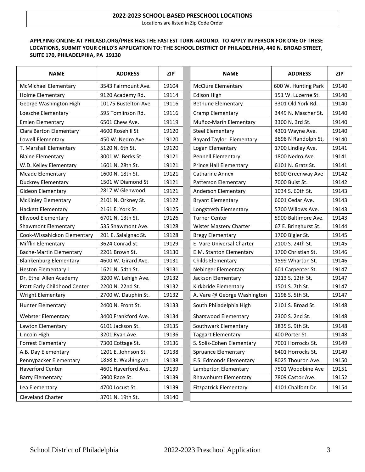#### **2022-2023 SCHOOL-BASED PRESCHOOL LOCATIONS** Locations are listed in Zip Code Order

#### **APPLYING ONLINE AT PHILASD.ORG/PREK HAS THE FASTEST TURN-AROUND***.* **TO APPLY IN PERSON FOR ONE OF THESE LOCATIONS, SUBMIT YOUR CHILD'S APPLICATION TO: THE SCHOOL DISTRICT OF PHILADELPHIA, 440 N. BROAD STREET, SUITE 170, PHILADELPHIA, PA 19130**

| <b>NAME</b>                    | <b>ADDRESS</b>       | <b>ZIP</b> | <b>NAME</b>                   | <b>ADDRESS</b>       | <b>ZIP</b> |
|--------------------------------|----------------------|------------|-------------------------------|----------------------|------------|
| <b>McMichael Elementary</b>    | 3543 Fairmount Ave.  | 19104      | <b>McClure Elementary</b>     | 600 W. Hunting Park  | 19140      |
| <b>Holme Elementary</b>        | 9120 Academy Rd.     | 19114      | Edison High                   | 151 W. Luzerne St.   | 19140      |
| George Washington High         | 10175 Bustelton Ave  | 19116      | <b>Bethune Elementary</b>     | 3301 Old York Rd.    | 19140      |
| Loesche Elementary             | 595 Tomlinson Rd.    | 19116      | Cramp Elementary              | 3449 N. Mascher St.  | 19140      |
| <b>Emlen Elementary</b>        | 6501 Chew Ave.       | 19119      | Muñoz-Marín Elementary        | 3300 N. 3rd St.      | 19140      |
| <b>Clara Barton Elementary</b> | 4600 Rosehill St     | 19120      | <b>Steel Elementary</b>       | 4301 Wayne Ave.      | 19140      |
| Lowell Elementary              | 450 W. Nedro Ave.    | 19120      | Bayard Taylor Elementary      | 3698 N Randolph St,  | 19140      |
| T. Marshall Elementary         | 5120 N. 6th St.      | 19120      | Logan Elementary              | 1700 Lindley Ave.    | 19141      |
| <b>Blaine Elementary</b>       | 3001 W. Berks St.    | 19121      | <b>Pennell Elementary</b>     | 1800 Nedro Ave.      | 19141      |
| W.D. Kelley Elementary         | 1601 N. 28th St.     | 19121      | Prince Hall Elementary        | 6101 N. Gratz St.    | 19141      |
| Meade Elementary               | 1600 N. 18th St.     | 19121      | <b>Catharine Annex</b>        | 6900 Greenway Ave    | 19142      |
| <b>Duckrey Elementary</b>      | 1501 W Diamond St    | 19121      | Patterson Elementary          | 7000 Buist St.       | 19142      |
| Gideon Elementary              | 2817 W Glenwood      | 19121      | Anderson Elementary           | 1034 S. 60th St.     | 19143      |
| <b>McKinley Elementary</b>     | 2101 N. Orkney St.   | 19122      | <b>Bryant Elementary</b>      | 6001 Cedar Ave.      | 19143      |
| <b>Hackett Elementary</b>      | 2161 E. York St.     | 19125      | Longstreth Elementary         | 5700 Willows Ave.    | 19143      |
| <b>Ellwood Elementary</b>      | 6701 N. 13th St.     | 19126      | <b>Turner Center</b>          | 5900 Baltimore Ave.  | 19143      |
| Shawmont Elementary            | 535 Shawmont Ave.    | 19128      | Wister Mastery Charter        | 67 E. Bringhurst St. | 19144      |
| Cook-Wissahickon Elementary    | 201 E. Salaignac St. | 19128      | <b>Bregy Elementary</b>       | 1700 Bigler St.      | 19145      |
| Mifflin Elementary             | 3624 Conrad St.      | 19129      | E. Vare Universal Charter     | 2100 S. 24th St.     | 19145      |
| <b>Bache-Martin Elementary</b> | 2201 Brown St.       | 19130      | E.M. Stanton Elementary       | 1700 Christian St.   | 19146      |
| <b>Blankenburg Elementary</b>  | 4600 W. Girard Ave.  | 19131      | Childs Elementary             | 1599 Wharton St.     | 19146      |
| Heston Elementary I            | 1621 N. 54th St.     | 19131      | <b>Nebinger Elementary</b>    | 601 Carpenter St.    | 19147      |
| Dr. Ethel Allen Academy        | 3200 W. Lehigh Ave.  | 19132      | Jackson Elementary            | 1213 S. 12th St.     | 19147      |
| Pratt Early Childhood Center   | 2200 N. 22nd St.     | 19132      | Kirkbride Elementary          | 1501 S. 7th St.      | 19147      |
| <b>Wright Elementary</b>       | 2700 W. Dauphin St.  | 19132      | A. Vare @ George Washington   | 1198 S. 5th St.      | 19147      |
| Hunter Elementary              | 2400 N. Front St.    | 19133      | South Philadelphia High       | 2101 S. Broad St.    | 19148      |
| <b>Webster Elementary</b>      | 3400 Frankford Ave.  | 19134      | Sharswood Elementary          | 2300 S. 2nd St.      | 19148      |
| Lawton Elementary              | 6101 Jackson St.     | 19135      | Southwark Elementary          | 1835 S. 9th St.      | 19148      |
| Lincoln High                   | 3201 Ryan Ave.       | 19136      | <b>Taggart Elementary</b>     | 400 Porter St.       | 19148      |
| <b>Forrest Elementary</b>      | 7300 Cottage St.     | 19136      | S. Solis-Cohen Elementary     | 7001 Horrocks St.    | 19149      |
| A.B. Day Elementary            | 1201 E. Johnson St.  | 19138      | <b>Spruance Elementary</b>    | 6401 Horrocks St.    | 19149      |
| Pennypacker Elementary         | 1858 E. Washington   | 19138      | F.S. Edmonds Elementary       | 8025 Thouron Ave.    | 19150      |
| Haverford Center               | 4601 Haverford Ave.  | 19139      | Lamberton Elementary          | 7501 Woodbine Ave    | 19151      |
| <b>Barry Elementary</b>        | 5900 Race St.        | 19139      | Rhawnhurst Elementary         | 7809 Castor Ave.     | 19152      |
| Lea Elementary                 | 4700 Locust St.      | 19139      | <b>Fitzpatrick Elementary</b> | 4101 Chalfont Dr.    | 19154      |
| Cleveland Charter              | 3701 N. 19th St.     | 19140      |                               |                      |            |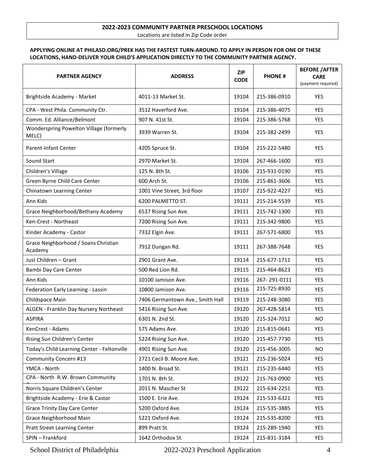#### **2022-2023 COMMUNITY PARTNER PRESCHOOL LOCATIONS** Locations are listed in Zip Code order

#### **APPLYING ONLINE AT PHILASD.ORG/PREK HAS THE FASTEST TURN-AROUND***.***TO APPLY IN PERSON FOR ONE OF THESE LOCATIONS, HAND-DELIVER YOUR CHILD'S APPLICATION DIRECTLY TO THE COMMUNITY PARTNER AGENCY.**

| <b>PARTNER AGENCY</b>                            | <b>ADDRESS</b>                   | <b>ZIP</b><br><b>CODE</b> | <b>PHONE#</b> | <b>BEFORE / AFTER</b><br><b>CARE</b><br>(payment required) |
|--------------------------------------------------|----------------------------------|---------------------------|---------------|------------------------------------------------------------|
| Brightside Academy - Market                      | 4011-13 Market St.               | 19104                     | 215-386-0910  | YES                                                        |
| CPA - West Phila. Community Ctr.                 | 3512 Haverford Ave.              | 19104                     | 215-386-4075  | <b>YES</b>                                                 |
| Comm. Ed. Alliance/Belmont                       | 907 N. 41st St.                  | 19104                     | 215-386-5768  | <b>YES</b>                                                 |
| Wonderspring Powelton Village (formerly<br>MELC) | 3939 Warren St.                  | 19104                     | 215-382-2499  | <b>YES</b>                                                 |
| Parent-Infant Center                             | 4205 Spruce St.                  | 19104                     | 215-222-5480  | YES                                                        |
| Sound Start                                      | 2970 Market St.                  | 19104                     | 267-466-1600  | <b>YES</b>                                                 |
| Children's Village                               | 125 N. 8th St.                   | 19106                     | 215-931-0190  | <b>YES</b>                                                 |
| Green Byrne Child Care Center                    | 600 Arch St.                     | 19106                     | 215-861-3606  | <b>YES</b>                                                 |
| Chinatown Learning Center                        | 1001 Vine Street, 3rd floor      | 19107                     | 215-922-4227  | <b>YES</b>                                                 |
| Ann Kids                                         | 6200 PALMETTO ST.                | 19111                     | 215-214-5539  | <b>YES</b>                                                 |
| Grace Neighborhood/Bethany Academy               | 6537 Rising Sun Ave.             | 19111                     | 215-742-1300  | <b>YES</b>                                                 |
| Ken-Crest - Northeast                            | 7200 Rising Sun Ave.             | 19111                     | 215-342-9800  | YES                                                        |
| Kinder Academy - Castor                          | 7332 Elgin Ave.                  | 19111                     | 267-571-6800  | YES                                                        |
| Grace Neighborhood / Soans Christian<br>Academy  | 7912 Dungan Rd.                  | 19111                     | 267-388-7648  | YES                                                        |
| Just Children - Grant                            | 2901 Grant Ave.                  | 19114                     | 215-677-1711  | <b>YES</b>                                                 |
| Bambi Day Care Center                            | 500 Red Lion Rd.                 | 19115                     | 215-464-8623  | YES                                                        |
| Ann Kids                                         | 10100 Jamison Ave.               | 19116                     | 267-291-0111  | YES                                                        |
| Federation Early Learning - Lassin               | 10800 Jamison Ave.               | 19116                     | 215-725-8930  | YES                                                        |
| Childspace Main                                  | 7406 Germantown Ave., Smith Hall | 19119                     | 215-248-3080  | YES                                                        |
| ALGEN - Franklin Day Nursery Northeast           | 5416 Rising Sun Ave.             | 19120                     | 267-428-5814  | <b>YES</b>                                                 |
| <b>ASPIRA</b>                                    | 6301 N. 2nd St.                  | 19120                     | 215-324-7012  | <b>NO</b>                                                  |
| KenCrest - Adams                                 | 575 Adams Ave.                   | 19120                     | 215-815-0641  | YES                                                        |
| Rising Sun Children's Center                     | 5224 Rising Sun Ave.             | 19120                     | 215-457-7730  | YES                                                        |
| Today's Child Learning Center - Feltonville      | 4901 Rising Sun Ave.             | 19120                     | 215-456-3005  | <b>NO</b>                                                  |
| Community Concern #13                            | 2721 Cecil B. Moore Ave.         | 19121                     | 215-236-5024  | YES                                                        |
| YMCA - North                                     | 1400 N. Broad St.                | 19121                     | 215-235-6440  | <b>YES</b>                                                 |
| CPA - North R.W. Brown Community                 | 1701 N. 8th St.                  | 19122                     | 215-763-0900  | YES                                                        |
| Norris Square Children's Center                  | 2011 N. Mascher St               | 19122                     | 215-634-2251  | YES                                                        |
| Brightside Academy - Erie & Castor               | 1500 E. Erie Ave.                | 19124                     | 215-533-6321  | <b>YES</b>                                                 |
| <b>Grace Trinity Day Care Center</b>             | 5200 Oxford Ave.                 | 19124                     | 215-535-3885  | <b>YES</b>                                                 |
| Grace Neighborhood Main                          | 5221 Oxford Ave.                 | 19124                     | 215-535-8200  | YES                                                        |
| <b>Pratt Street Learning Center</b>              | 899 Pratt St.                    | 19124                     | 215-289-1940  | YES                                                        |
| SPIN - Frankford                                 | 1642 Orthodox St.                | 19124                     | 215-831-3184  | YES                                                        |

School District of Philadelphia 2022-2023 Preschool Application 4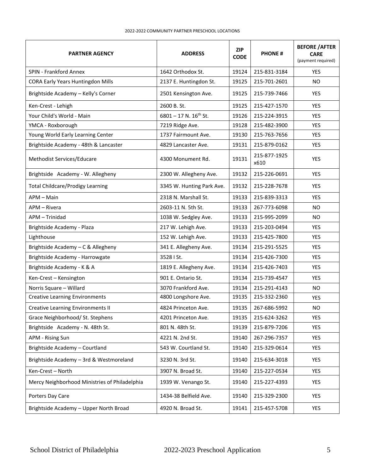| <b>PARTNER AGENCY</b>                         | <b>ADDRESS</b>               | <b>ZIP</b><br><b>CODE</b> | <b>PHONE#</b>        | <b>BEFORE / AFTER</b><br><b>CARE</b><br>(payment required) |
|-----------------------------------------------|------------------------------|---------------------------|----------------------|------------------------------------------------------------|
| <b>SPIN - Frankford Annex</b>                 | 1642 Orthodox St.            | 19124                     | 215-831-3184         | <b>YES</b>                                                 |
| <b>CORA Early Years Huntingdon Mills</b>      | 2137 E. Huntingdon St.       | 19125                     | 215-701-2601         | N <sub>O</sub>                                             |
| Brightside Academy - Kelly's Corner           | 2501 Kensington Ave.         | 19125                     | 215-739-7466         | <b>YES</b>                                                 |
| Ken-Crest - Lehigh                            | 2600 B. St.                  | 19125                     | 215-427-1570         | <b>YES</b>                                                 |
| Your Child's World - Main                     | $6801 - 17$ N. $16^{th}$ St. | 19126                     | 215-224-3915         | YES                                                        |
| YMCA - Roxborough                             | 7219 Ridge Ave.              | 19128                     | 215-482-3900         | <b>YES</b>                                                 |
| Young World Early Learning Center             | 1737 Fairmount Ave.          | 19130                     | 215-763-7656         | YES                                                        |
| Brightside Academy - 48th & Lancaster         | 4829 Lancaster Ave.          | 19131                     | 215-879-0162         | <b>YES</b>                                                 |
| Methodist Services/Educare                    | 4300 Monument Rd.            | 19131                     | 215-877-1925<br>x610 | <b>YES</b>                                                 |
| Brightside Academy - W. Allegheny             | 2300 W. Allegheny Ave.       | 19132                     | 215-226-0691         | <b>YES</b>                                                 |
| <b>Total Childcare/Prodigy Learning</b>       | 3345 W. Hunting Park Ave.    | 19132                     | 215-228-7678         | <b>YES</b>                                                 |
| APM - Main                                    | 2318 N. Marshall St.         | 19133                     | 215-839-3313         | <b>YES</b>                                                 |
| APM - Rivera                                  | 2603-11 N. 5th St.           | 19133                     | 267-773-6098         | <b>NO</b>                                                  |
| APM - Trinidad                                | 1038 W. Sedgley Ave.         | 19133                     | 215-995-2099         | NO.                                                        |
| Brightside Academy - Plaza                    | 217 W. Lehigh Ave.           | 19133                     | 215-203-0494         | YES.                                                       |
| Lighthouse                                    | 152 W. Lehigh Ave.           | 19133                     | 215-425-7800         | <b>YES</b>                                                 |
| Brightside Academy - C & Allegheny            | 341 E. Allegheny Ave.        | 19134                     | 215-291-5525         | YES                                                        |
| Brightside Academy - Harrowgate               | 3528   St.                   | 19134                     | 215-426-7300         | <b>YES</b>                                                 |
| Brightside Academy - K & A                    | 1819 E. Allegheny Ave.       | 19134                     | 215-426-7403         | <b>YES</b>                                                 |
| Ken-Crest - Kensington                        | 901 E. Ontario St.           | 19134                     | 215-739-4547         | <b>YES</b>                                                 |
| Norris Square - Willard                       | 3070 Frankford Ave.          | 19134                     | 215-291-4143         | NO.                                                        |
| <b>Creative Learning Environments</b>         | 4800 Longshore Ave.          | 19135                     | 215-332-2360         | <b>YES</b>                                                 |
| <b>Creative Learning Environments II</b>      | 4824 Princeton Ave.          | 19135                     | 267-686-5992         | <b>NO</b>                                                  |
| Grace Neighborhood/ St. Stephens              | 4201 Princeton Ave.          | 19135                     | 215-624-3262         | YES                                                        |
| Brightside Academy - N. 48th St.              | 801 N. 48th St.              | 19139                     | 215-879-7206         | <b>YES</b>                                                 |
| APM - Rising Sun                              | 4221 N. 2nd St.              | 19140                     | 267-296-7357         | <b>YES</b>                                                 |
| Brightside Academy - Courtland                | 543 W. Courtland St.         | 19140                     | 215-329-0614         | <b>YES</b>                                                 |
| Brightside Academy - 3rd & Westmoreland       | 3230 N. 3rd St.              | 19140                     | 215-634-3018         | <b>YES</b>                                                 |
| Ken-Crest - North                             | 3907 N. Broad St.            | 19140                     | 215-227-0534         | YES                                                        |
| Mercy Neighborhood Ministries of Philadelphia | 1939 W. Venango St.          | 19140                     | 215-227-4393         | YES                                                        |
| Porters Day Care                              | 1434-38 Belfield Ave.        | 19140                     | 215-329-2300         | <b>YES</b>                                                 |
| Brightside Academy - Upper North Broad        | 4920 N. Broad St.            | 19141                     | 215-457-5708         | YES                                                        |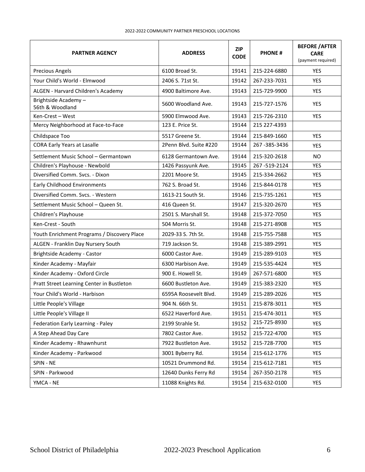#### 2022-2022 COMMUNITY PARTNER PRESCHOOL LOCATIONS

| <b>PARTNER AGENCY</b>                       | <b>ADDRESS</b>         | <b>ZIP</b><br><b>CODE</b> | <b>PHONE#</b> | <b>BEFORE / AFTER</b><br><b>CARE</b><br>(payment required) |
|---------------------------------------------|------------------------|---------------------------|---------------|------------------------------------------------------------|
| <b>Precious Angels</b>                      | 6100 Broad St.         | 19141                     | 215-224-6880  | <b>YES</b>                                                 |
| Your Child's World - Elmwood                | 2406 S. 71st St.       | 19142                     | 267-233-7031  | <b>YES</b>                                                 |
| ALGEN - Harvard Children's Academy          | 4900 Baltimore Ave.    | 19143                     | 215-729-9900  | <b>YES</b>                                                 |
| Brightside Academy-<br>56th & Woodland      | 5600 Woodland Ave.     | 19143                     | 215-727-1576  | YES                                                        |
| Ken-Crest - West                            | 5900 Elmwood Ave.      | 19143                     | 215-726-2310  | <b>YES</b>                                                 |
| Mercy Neighborhood at Face-to-Face          | 123 E. Price St.       | 19144                     | 215 227-4393  |                                                            |
| Childspace Too                              | 5517 Greene St.        | 19144                     | 215-849-1660  | <b>YES</b>                                                 |
| <b>CORA Early Years at Lasalle</b>          | 2Penn Blvd. Suite #220 | 19144                     | 267-385-3436  | <b>YES</b>                                                 |
| Settlement Music School - Germantown        | 6128 Germantown Ave.   | 19144                     | 215-320-2618  | NO.                                                        |
| Children's Playhouse - Newbold              | 1426 Passyunk Ave.     | 19145                     | 267-519-2124  | YES                                                        |
| Diversified Comm. Svcs. - Dixon             | 2201 Moore St.         | 19145                     | 215-334-2662  | <b>YES</b>                                                 |
| Early Childhood Environments                | 762 S. Broad St.       | 19146                     | 215-844-0178  | <b>YES</b>                                                 |
| Diversified Comm. Sycs. - Western           | 1613-21 South St.      | 19146                     | 215-735-1261  | <b>YES</b>                                                 |
| Settlement Music School - Queen St.         | 416 Queen St.          | 19147                     | 215-320-2670  | <b>YES</b>                                                 |
| Children's Playhouse                        | 2501 S. Marshall St.   | 19148                     | 215-372-7050  | <b>YES</b>                                                 |
| Ken-Crest - South                           | 504 Morris St.         | 19148                     | 215-271-8908  | <b>YES</b>                                                 |
| Youth Enrichment Programs / Discovery Place | 2029-33 S. 7th St.     | 19148                     | 215-755-7588  | <b>YES</b>                                                 |
| ALGEN - Franklin Day Nursery South          | 719 Jackson St.        | 19148                     | 215-389-2991  | <b>YES</b>                                                 |
| Brightside Academy - Castor                 | 6000 Castor Ave.       | 19149                     | 215-289-9103  | <b>YES</b>                                                 |
| Kinder Academy - Mayfair                    | 6300 Harbison Ave.     | 19149                     | 215-535-4424  | <b>YES</b>                                                 |
| Kinder Academy - Oxford Circle              | 900 E. Howell St.      | 19149                     | 267-571-6800  | <b>YES</b>                                                 |
| Pratt Street Learning Center in Bustleton   | 6600 Bustleton Ave.    | 19149                     | 215-383-2320  | YES                                                        |
| Your Child's World - Harbison               | 6595A Roosevelt Blyd.  | 19149                     | 215-289-2026  | <b>YES</b>                                                 |
| Little People's Village                     | 904 N. 66th St.        | 19151                     | 215-878-3011  | YES                                                        |
| Little People's Village II                  | 6522 Haverford Ave.    | 19151                     | 215-474-3011  | YES                                                        |
| Federation Early Learning - Paley           | 2199 Strahle St.       | 19152                     | 215-725-8930  | <b>YES</b>                                                 |
| A Step Ahead Day Care                       | 7802 Castor Ave.       | 19152                     | 215-722-4700  | <b>YES</b>                                                 |
| Kinder Academy - Rhawnhurst                 | 7922 Bustleton Ave.    | 19152                     | 215-728-7700  | YES                                                        |
| Kinder Academy - Parkwood                   | 3001 Byberry Rd.       | 19154                     | 215-612-1776  | YES                                                        |
| SPIN - NE                                   | 10521 Drummond Rd.     | 19154                     | 215-612-7181  | YES                                                        |
| SPIN - Parkwood                             | 12640 Dunks Ferry Rd   | 19154                     | 267-350-2178  | YES                                                        |
| YMCA - NE                                   | 11088 Knights Rd.      | 19154                     | 215-632-0100  | YES                                                        |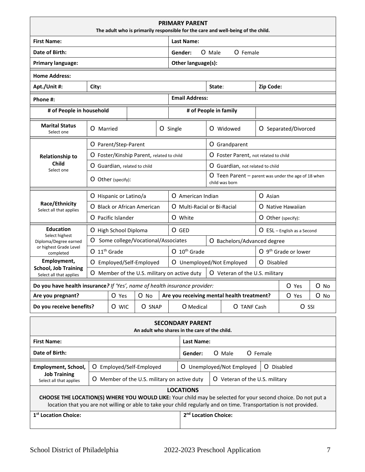|                                                                            |                |                        |                                           |           | <b>PRIMARY PARENT</b><br>The adult who is primarily responsible for the care and well-being of the child. |                                                                                    |                                |            |                                  |      |
|----------------------------------------------------------------------------|----------------|------------------------|-------------------------------------------|-----------|-----------------------------------------------------------------------------------------------------------|------------------------------------------------------------------------------------|--------------------------------|------------|----------------------------------|------|
| <b>First Name:</b>                                                         |                |                        |                                           |           | <b>Last Name:</b>                                                                                         |                                                                                    |                                |            |                                  |      |
| <b>Date of Birth:</b>                                                      |                |                        |                                           |           | Gender:                                                                                                   | O Male                                                                             | O Female                       |            |                                  |      |
| <b>Primary language:</b>                                                   |                |                        |                                           |           | Other language(s):                                                                                        |                                                                                    |                                |            |                                  |      |
| <b>Home Address:</b>                                                       |                |                        |                                           |           |                                                                                                           |                                                                                    |                                |            |                                  |      |
| Apt./Unit #:                                                               | City:          |                        |                                           |           |                                                                                                           | State:                                                                             |                                | Zip Code:  |                                  |      |
| Phone #:                                                                   |                |                        |                                           |           | <b>Email Address:</b>                                                                                     |                                                                                    |                                |            |                                  |      |
| # of People in household                                                   |                |                        |                                           |           | # of People in family                                                                                     |                                                                                    |                                |            |                                  |      |
| <b>Marital Status</b><br>Select one                                        | O Married      |                        |                                           |           | O Single                                                                                                  |                                                                                    | O Widowed                      |            | O Separated/Divorced             |      |
|                                                                            |                | O Parent/Step-Parent   |                                           |           |                                                                                                           |                                                                                    | O Grandparent                  |            |                                  |      |
| <b>Relationship to</b>                                                     |                |                        | O Foster/Kinship Parent, related to child |           |                                                                                                           | O Foster Parent, not related to child                                              |                                |            |                                  |      |
| <b>Child</b><br>Select one                                                 |                |                        | O Guardian, related to child              |           |                                                                                                           | O Guardian, not related to child                                                   |                                |            |                                  |      |
|                                                                            |                | O Other (specify):     |                                           |           |                                                                                                           | $\overline{O}$ Teen Parent – parent was under the age of 18 when<br>child was born |                                |            |                                  |      |
|                                                                            |                | O Hispanic or Latino/a |                                           |           |                                                                                                           | O American Indian<br>O Asian                                                       |                                |            |                                  |      |
| Race/Ethnicity<br>Select all that applies                                  |                |                        | O Black or African American               |           | O Multi-Racial or Bi-Racial                                                                               |                                                                                    | O Native Hawaiian              |            |                                  |      |
|                                                                            |                | O Pacific Islander     |                                           |           | O White                                                                                                   |                                                                                    |                                |            | O Other (specify):               |      |
| <b>Education</b>                                                           |                | O High School Diploma  |                                           |           | O GED                                                                                                     |                                                                                    |                                |            | $O$ ESL – English as a Second    |      |
| Select highest<br>Diploma/Degree earned                                    | 0              |                        | Some college/Vocational/Associates        |           |                                                                                                           |                                                                                    | O Bachelors/Advanced degree    |            |                                  |      |
| or highest Grade Level<br>completed                                        | $O 11th$ Grade |                        |                                           |           | O 10 <sup>th</sup> Grade                                                                                  |                                                                                    |                                |            | O 9 <sup>th</sup> Grade or lower |      |
| Employment,<br><b>School, Job Training</b>                                 |                |                        | O Employed/Self-Employed                  |           | O Unemployed/Not Employed                                                                                 |                                                                                    |                                | O Disabled |                                  |      |
| Select all that applies                                                    |                |                        |                                           |           | O Member of the U.S. military on active duty                                                              |                                                                                    | O Veteran of the U.S. military |            |                                  |      |
| Do you have health insurance? If 'Yes', name of health insurance provider: |                |                        |                                           |           |                                                                                                           |                                                                                    |                                |            | O Yes                            | O No |
| Are you pregnant?                                                          |                | O Yes                  | O No                                      |           | Are you receiving mental health treatment?                                                                |                                                                                    |                                |            | O Yes                            | O No |
| Do you receive benefits?<br>O SNAP<br>O WIC                                |                |                        |                                           | O Medical |                                                                                                           | O TANF Cash                                                                        |                                | O SSI      |                                  |      |
|                                                                            |                |                        |                                           |           | <b>SECONDARY PARENT</b><br>An adult who shares in the care of the child.                                  |                                                                                    |                                |            |                                  |      |
| <b>First Name:</b>                                                         |                |                        |                                           |           | Last Name:                                                                                                |                                                                                    |                                |            |                                  |      |
| Date of Birth:                                                             |                |                        |                                           | Gender:   |                                                                                                           | O Male                                                                             | O Female                       |            |                                  |      |

|                                                                                                                                                                                                                                     |                                              | uchuch. | $\mathbf{v}$ is $\mathbf{v}$<br>U LUIGIC |            |  |  |
|-------------------------------------------------------------------------------------------------------------------------------------------------------------------------------------------------------------------------------------|----------------------------------------------|---------|------------------------------------------|------------|--|--|
| Employment, School,                                                                                                                                                                                                                 | O Employed/Self-Employed                     |         | O Unemployed/Not Employed                | O Disabled |  |  |
| <b>Job Training</b><br>Select all that applies                                                                                                                                                                                      | O Member of the U.S. military on active duty |         | O Veteran of the U.S. military           |            |  |  |
| <b>LOCATIONS</b>                                                                                                                                                                                                                    |                                              |         |                                          |            |  |  |
| CHOOSE THE LOCATION(S) WHERE YOU WOULD LIKE: Your child may be selected for your second choice. Do not put a<br>location that you are not willing or able to take your child regularly and on time. Transportation is not provided. |                                              |         |                                          |            |  |  |

| 1 <sup>st</sup> Location Choice: | 2 <sup>nd</sup> Location Choice: |
|----------------------------------|----------------------------------|
|                                  |                                  |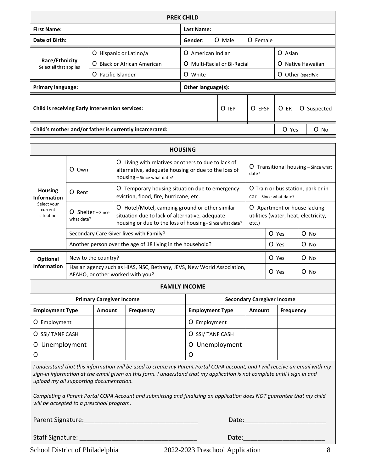| <b>PREK CHILD</b>                                                                  |                                  |                                              |         |      |                      |           |         |  |
|------------------------------------------------------------------------------------|----------------------------------|----------------------------------------------|---------|------|----------------------|-----------|---------|--|
| <b>First Name:</b>                                                                 |                                  | Last Name:                                   |         |      |                      |           |         |  |
| Date of Birth:                                                                     | O<br>O Female<br>Male<br>Gender: |                                              |         |      |                      |           |         |  |
|                                                                                    | American Indian<br>O.            |                                              | O Asian |      |                      |           |         |  |
| Race/Ethnicity<br>Black or African American<br>$\Omega$<br>Select all that applies |                                  | <b>Multi-Racial or Bi-Racial</b><br>$\Omega$ |         |      | Native Hawaiian<br>O |           |         |  |
|                                                                                    | O<br>White                       | O<br>Other (specify):                        |         |      |                      |           |         |  |
| <b>Primary language:</b>                                                           | Other language(s):               |                                              |         |      |                      |           |         |  |
| <b>Child is receiving Early Intervention services:</b>                             |                                  | O<br><b>IEP</b>                              | O EFSP  | O ER | O                    | Suspected |         |  |
| Child's mother and/or father is currently incarcerated:                            |                                  |                                              |         |      | O Yes                |           | O<br>No |  |

| <b>HOUSING</b>                       |                                                                                                                     |        |                                                                                                                                                                        |                        |        |                                   |                                                                    |        |  |
|--------------------------------------|---------------------------------------------------------------------------------------------------------------------|--------|------------------------------------------------------------------------------------------------------------------------------------------------------------------------|------------------------|--------|-----------------------------------|--------------------------------------------------------------------|--------|--|
|                                      | O Own                                                                                                               | Ő      | Living with relatives or others to due to lack of<br>alternative, adequate housing or due to the loss of<br>date?<br>housing – Since what date?                        |                        |        |                                   | $O$ Transitional housing – Since what                              |        |  |
| <b>Housing</b><br><b>Information</b> | $O$ Rent                                                                                                            | Ő      | O Train or bus station, park or in<br>Temporary housing situation due to emergency:<br>eviction, flood, fire, hurricane, etc.<br>$car$ – Since what date?              |                        |        |                                   |                                                                    |        |  |
| Select your<br>current<br>situation  | Shelter - Since<br>0<br>what date?                                                                                  |        | Hotel/Motel, camping ground or other similar<br>O<br>situation due to lack of alternative, adequate<br>housing or due to the loss of housing-Since what date?<br>etc.) |                        |        |                                   | Apartment or house lacking<br>utilities (water, heat, electricity, |        |  |
|                                      |                                                                                                                     |        | Secondary Care Giver lives with Family?                                                                                                                                |                        | O Yes  |                                   | $O$ No                                                             |        |  |
|                                      |                                                                                                                     |        | Another person over the age of 18 living in the household?                                                                                                             |                        |        | O Yes                             |                                                                    | O No   |  |
| Optional                             | New to the country?                                                                                                 |        |                                                                                                                                                                        |                        |        | O Yes                             |                                                                    | $O$ No |  |
| <b>Information</b>                   | Has an agency such as HIAS, NSC, Bethany, JEVS, New World Association,<br>O Yes<br>AFAHO, or other worked with you? |        |                                                                                                                                                                        |                        |        |                                   |                                                                    |        |  |
| <b>FAMILY INCOME</b>                 |                                                                                                                     |        |                                                                                                                                                                        |                        |        |                                   |                                                                    |        |  |
|                                      | <b>Primary Caregiver Income</b>                                                                                     |        |                                                                                                                                                                        |                        |        | <b>Secondary Caregiver Income</b> |                                                                    |        |  |
| <b>Employment Type</b>               |                                                                                                                     | Amount | <b>Frequency</b>                                                                                                                                                       | <b>Employment Type</b> | Amount | <b>Frequency</b>                  |                                                                    |        |  |
| O Employment                         |                                                                                                                     |        |                                                                                                                                                                        | Employment<br>O        |        |                                   |                                                                    |        |  |

O Unemployment O Unemployment O I understand that this information will be used to create my Parent Portal COPA account, and I will receive an email with my O *sign-in information at the email given on this form. I understand that my application is not complete until I sign in and upload my all supporting documentation.* 

O SSI/ TANF CASH O SSI/ TANF CASH

*Completing a Parent Portal COPA Account and submitting and finalizing an application does NOT guarantee that my child will be accepted to a preschool program.*

Parent Signature:\_\_\_\_\_\_\_\_\_\_\_\_\_\_\_\_\_\_\_\_\_\_\_\_\_\_\_\_\_\_\_\_ Date:\_\_\_\_\_\_\_\_\_\_\_\_\_\_\_\_\_\_\_\_\_\_\_

Staff Signature: \_\_\_\_\_\_\_\_\_\_\_\_\_\_\_\_\_\_\_\_\_\_\_\_\_\_\_\_\_\_\_\_\_ Date:\_\_\_\_\_\_\_\_\_\_\_\_\_\_\_\_\_\_\_\_\_\_\_

School District of Philadelphia 2022-2023 Preschool Application 8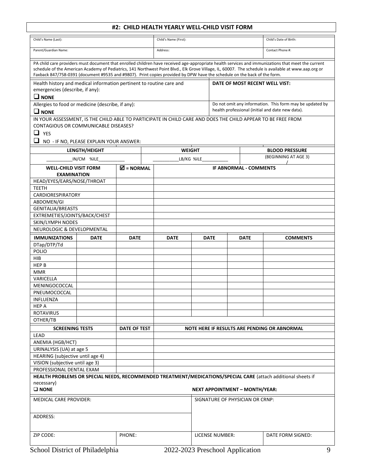#### **#2: CHILD HEALTH YEARLY WELL-CHILD VISIT FORM**

|                                                                                                         |                                         |                                  | #2: CHILD HEALTH YEARLY WELL-CHILD VISIT FORM                                                                            |             |                                       |             |                                                                                                                                                                                                                                                                                                            |
|---------------------------------------------------------------------------------------------------------|-----------------------------------------|----------------------------------|--------------------------------------------------------------------------------------------------------------------------|-------------|---------------------------------------|-------------|------------------------------------------------------------------------------------------------------------------------------------------------------------------------------------------------------------------------------------------------------------------------------------------------------------|
| Child's Name (Last):                                                                                    |                                         |                                  | Child's Name (First):                                                                                                    |             |                                       |             | Child's Date of Birth:                                                                                                                                                                                                                                                                                     |
| Parent/Guardian Name:                                                                                   |                                         |                                  | Address:                                                                                                                 |             |                                       |             | Contact Phone #:                                                                                                                                                                                                                                                                                           |
|                                                                                                         |                                         |                                  | Faxback 847/758-0391 (document #9535 and #9807). Print copies provided by DPW have the schedule on the back of the form. |             |                                       |             | PA child care providers must document that enrolled children have received age-appropriate health services and immunizations that meet the current<br>schedule of the American Academy of Pediatrics, 141 Northwest Point Blvd., Elk Grove Village, IL, 60007. The schedule is available at www.aap.org or |
| Health history and medical information pertinent to routine care and<br>emergencies (describe, if any): |                                         |                                  |                                                                                                                          |             |                                       |             | DATE OF MOST RECENT WELL VIST:                                                                                                                                                                                                                                                                             |
| $\Box$ NONE                                                                                             |                                         |                                  |                                                                                                                          |             |                                       |             |                                                                                                                                                                                                                                                                                                            |
| Allergies to food or medicine (describe, if any):<br>$\Box$ NONE                                        |                                         |                                  |                                                                                                                          |             |                                       |             | Do not omit any information. This form may be updated by<br>health professional (initial and date new data).                                                                                                                                                                                               |
| CONTAGIOUS OR COMMUNICABLE DISEASES?<br>$\Box$ YES<br>$\Box$                                            | NO - IF NO, PLEASE EXPLAIN YOUR ANSWER: |                                  | IN YOUR ASSESSMENT, IS THE CHILD ABLE TO PARTICIPATE IN CHILD CARE AND DOES THE CHILD APPEAR TO BE FREE FROM             |             |                                       |             |                                                                                                                                                                                                                                                                                                            |
|                                                                                                         | LENGTH/HEIGHT                           |                                  | <b>WEIGHT</b>                                                                                                            |             |                                       |             | <b>BLOOD PRESSURE</b>                                                                                                                                                                                                                                                                                      |
|                                                                                                         | IN/CM %ILE                              |                                  | LB/KG %ILE                                                                                                               |             |                                       |             | (BEGINNING AT AGE 3)                                                                                                                                                                                                                                                                                       |
| <b>WELL-CHILD VISIT FORM</b>                                                                            |                                         | $\overline{\mathbf{M}}$ = NORMAL |                                                                                                                          |             | <b>IF ABNORMAL - COMMENTS</b>         |             |                                                                                                                                                                                                                                                                                                            |
| <b>EXAMINATION</b>                                                                                      |                                         |                                  |                                                                                                                          |             |                                       |             |                                                                                                                                                                                                                                                                                                            |
| HEAD/EYES/EARS/NOSE/THROAT                                                                              |                                         |                                  |                                                                                                                          |             |                                       |             |                                                                                                                                                                                                                                                                                                            |
| <b>TEETH</b>                                                                                            |                                         |                                  |                                                                                                                          |             |                                       |             |                                                                                                                                                                                                                                                                                                            |
| CARDIORESPIRATORY                                                                                       |                                         |                                  |                                                                                                                          |             |                                       |             |                                                                                                                                                                                                                                                                                                            |
| ABDOMEN/GI                                                                                              |                                         |                                  |                                                                                                                          |             |                                       |             |                                                                                                                                                                                                                                                                                                            |
| <b>GENITALIA/BREASTS</b>                                                                                |                                         |                                  |                                                                                                                          |             |                                       |             |                                                                                                                                                                                                                                                                                                            |
| EXTREMETIES/JOINTS/BACK/CHEST                                                                           |                                         |                                  |                                                                                                                          |             |                                       |             |                                                                                                                                                                                                                                                                                                            |
| SKIN/LYMPH NODES                                                                                        |                                         |                                  |                                                                                                                          |             |                                       |             |                                                                                                                                                                                                                                                                                                            |
| NEUROLOGIC & DEVELOPMENTAL                                                                              |                                         |                                  |                                                                                                                          |             |                                       |             |                                                                                                                                                                                                                                                                                                            |
| <b>IMMUNIZATIONS</b>                                                                                    | <b>DATE</b>                             | <b>DATE</b>                      | <b>DATE</b>                                                                                                              | <b>DATE</b> |                                       | <b>DATE</b> | <b>COMMENTS</b>                                                                                                                                                                                                                                                                                            |
| DTap/DTP/Td                                                                                             |                                         |                                  |                                                                                                                          |             |                                       |             |                                                                                                                                                                                                                                                                                                            |
| POLIO                                                                                                   |                                         |                                  |                                                                                                                          |             |                                       |             |                                                                                                                                                                                                                                                                                                            |
| <b>HIB</b>                                                                                              |                                         |                                  |                                                                                                                          |             |                                       |             |                                                                                                                                                                                                                                                                                                            |
| <b>HEP B</b>                                                                                            |                                         |                                  |                                                                                                                          |             |                                       |             |                                                                                                                                                                                                                                                                                                            |
| <b>MMR</b>                                                                                              |                                         |                                  |                                                                                                                          |             |                                       |             |                                                                                                                                                                                                                                                                                                            |
| VARICELLA                                                                                               |                                         |                                  |                                                                                                                          |             |                                       |             |                                                                                                                                                                                                                                                                                                            |
| MENINGOCOCCAL                                                                                           |                                         |                                  |                                                                                                                          |             |                                       |             |                                                                                                                                                                                                                                                                                                            |
| PNEUMOCOCCAL                                                                                            |                                         |                                  |                                                                                                                          |             |                                       |             |                                                                                                                                                                                                                                                                                                            |
| <b>INFLUENZA</b>                                                                                        |                                         |                                  |                                                                                                                          |             |                                       |             |                                                                                                                                                                                                                                                                                                            |
| <b>HEP A</b><br><b>ROTAVIRUS</b>                                                                        |                                         |                                  |                                                                                                                          |             |                                       |             |                                                                                                                                                                                                                                                                                                            |
| OTHER/TB                                                                                                |                                         |                                  |                                                                                                                          |             |                                       |             |                                                                                                                                                                                                                                                                                                            |
|                                                                                                         |                                         |                                  |                                                                                                                          |             |                                       |             |                                                                                                                                                                                                                                                                                                            |
| <b>SCREENING TESTS</b><br><b>LEAD</b>                                                                   |                                         | DATE OF TEST                     |                                                                                                                          |             |                                       |             | NOTE HERE IF RESULTS ARE PENDING OR ABNORMAL                                                                                                                                                                                                                                                               |
| ANEMIA (HGB/HCT)                                                                                        |                                         |                                  |                                                                                                                          |             |                                       |             |                                                                                                                                                                                                                                                                                                            |
| URINALYSIS (UA) at age 5                                                                                |                                         |                                  |                                                                                                                          |             |                                       |             |                                                                                                                                                                                                                                                                                                            |
| HEARING (subjective until age 4)                                                                        |                                         |                                  |                                                                                                                          |             |                                       |             |                                                                                                                                                                                                                                                                                                            |
| VISION (subjective until age 3)                                                                         |                                         |                                  |                                                                                                                          |             |                                       |             |                                                                                                                                                                                                                                                                                                            |
| PROFESSIONAL DENTAL EXAM                                                                                |                                         |                                  |                                                                                                                          |             |                                       |             |                                                                                                                                                                                                                                                                                                            |
|                                                                                                         |                                         |                                  |                                                                                                                          |             |                                       |             | HEALTH PROBLEMS OR SPECIAL NEEDS, RECOMMENDED TREATMENT/MEDICATIONS/SPECIAL CARE (attach additional sheets if                                                                                                                                                                                              |
| necessary)                                                                                              |                                         |                                  |                                                                                                                          |             |                                       |             |                                                                                                                                                                                                                                                                                                            |
| $\square$ NONE                                                                                          |                                         |                                  |                                                                                                                          |             | <b>NEXT APPOINTMENT - MONTH/YEAR:</b> |             |                                                                                                                                                                                                                                                                                                            |
| <b>MEDICAL CARE PROVIDER:</b>                                                                           |                                         |                                  |                                                                                                                          |             | SIGNATURE OF PHYSICIAN OR CRNP:       |             |                                                                                                                                                                                                                                                                                                            |
| ADDRESS:                                                                                                |                                         |                                  |                                                                                                                          |             |                                       |             |                                                                                                                                                                                                                                                                                                            |
|                                                                                                         |                                         |                                  |                                                                                                                          |             |                                       |             |                                                                                                                                                                                                                                                                                                            |
| ZIP CODE:<br>PHONE:<br>LICENSE NUMBER:<br>DATE FORM SIGNED:                                             |                                         |                                  |                                                                                                                          |             |                                       |             |                                                                                                                                                                                                                                                                                                            |
| School District of Philadelphia                                                                         |                                         |                                  | 2022-2023 Preschool Application                                                                                          |             |                                       |             | 9                                                                                                                                                                                                                                                                                                          |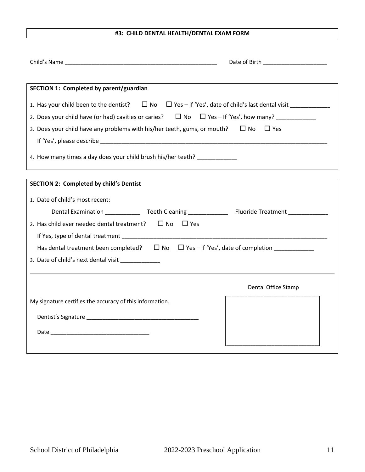#### **#3: CHILD DENTAL HEALTH/DENTAL EXAM FORM**

| SECTION 1: Completed by parent/guardian                                                                                  |                     |
|--------------------------------------------------------------------------------------------------------------------------|---------------------|
| 1. Has your child been to the dentist? $\Box$ No $\Box$ Yes - if 'Yes', date of child's last dental visit ______________ |                     |
| 2. Does your child have (or had) cavities or caries? $\Box$ No $\Box$ Yes – If 'Yes', how many?                          |                     |
| 3. Does your child have any problems with his/her teeth, gums, or mouth? $\square$ No                                    | $\Box$ Yes          |
|                                                                                                                          |                     |
| 4. How many times a day does your child brush his/her teeth?                                                             |                     |
|                                                                                                                          |                     |
| <b>SECTION 2: Completed by child's Dentist</b>                                                                           |                     |
| 1. Date of child's most recent:                                                                                          |                     |
| Dental Examination _______________Teeth Cleaning ________________________________                                        |                     |
| 2. Has child ever needed dental treatment? $\square$ No<br>$\Box$ Yes                                                    |                     |
|                                                                                                                          |                     |
| Has dental treatment been completed? $\Box$ No $\Box$ Yes - if 'Yes', date of completion _____________                   |                     |
| 3. Date of child's next dental visit _____________                                                                       |                     |
|                                                                                                                          |                     |
|                                                                                                                          | Dental Office Stamp |
| My signature certifies the accuracy of this information.                                                                 |                     |
|                                                                                                                          |                     |
|                                                                                                                          |                     |
|                                                                                                                          |                     |
|                                                                                                                          |                     |